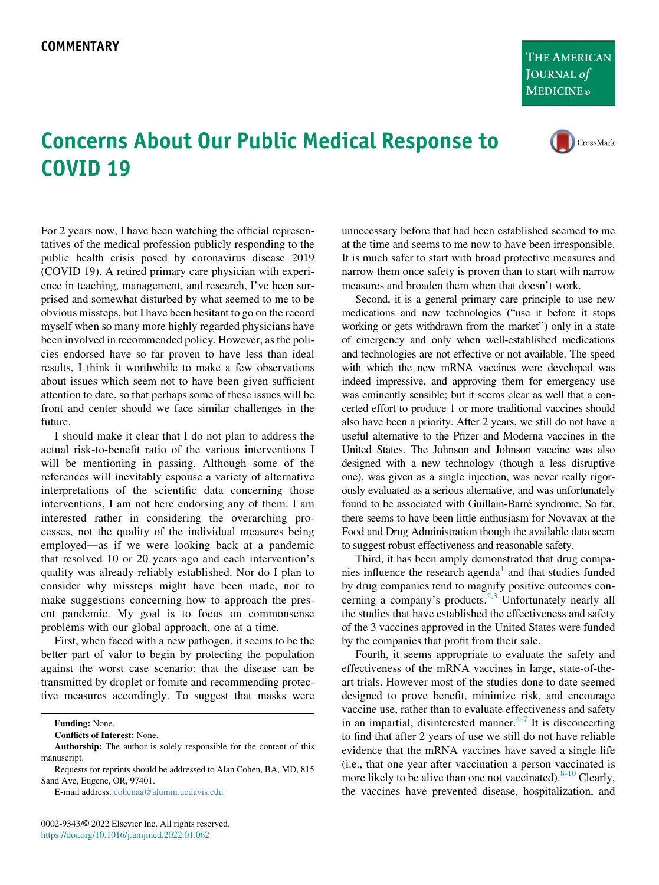THE AMERICAN **JOURNAL** of **MEDICINE**®

CrossMark

## Concerns About Our Public Medical Response to COVID 19

For 2 years now, I have been watching the official representatives of the medical profession publicly responding to the public health crisis posed by coronavirus disease 2019 (COVID 19). A retired primary care physician with experience in teaching, management, and research, I've been surprised and somewhat disturbed by what seemed to me to be obvious missteps, but I have been hesitant to go on the record myself when so many more highly regarded physicians have been involved in recommended policy. However, as the policies endorsed have so far proven to have less than ideal results, I think it worthwhile to make a few observations about issues which seem not to have been given sufficient attention to date, so that perhaps some of these issues will be front and center should we face similar challenges in the future.

I should make it clear that I do not plan to address the actual risk-to-benefit ratio of the various interventions I will be mentioning in passing. Although some of the references will inevitably espouse a variety of alternative interpretations of the scientific data concerning those interventions, I am not here endorsing any of them. I am interested rather in considering the overarching processes, not the quality of the individual measures being employed—as if we were looking back at a pandemic that resolved 10 or 20 years ago and each intervention's quality was already reliably established. Nor do I plan to consider why missteps might have been made, nor to make suggestions concerning how to approach the present pandemic. My goal is to focus on commonsense problems with our global approach, one at a time.

First, when faced with a new pathogen, it seems to be the better part of valor to begin by protecting the population against the worst case scenario: that the disease can be transmitted by droplet or fomite and recommending protective measures accordingly. To suggest that masks were

Funding: None.

Conflicts of Interest: None.

Requests for reprints should be addressed to Alan Cohen, BA, MD, 815 Sand Ave, Eugene, OR, 97401.

E-mail address: [cohenaa@alumni.ucdavis.edu](mailto:cohenaa@alumni.ucdavis.edu)

unnecessary before that had been established seemed to me at the time and seems to me now to have been irresponsible. It is much safer to start with broad protective measures and narrow them once safety is proven than to start with narrow measures and broaden them when that doesn't work.

Second, it is a general primary care principle to use new medications and new technologies ("use it before it stops working or gets withdrawn from the market") only in a state of emergency and only when well-established medications and technologies are not effective or not available. The speed with which the new mRNA vaccines were developed was indeed impressive, and approving them for emergency use was eminently sensible; but it seems clear as well that a concerted effort to produce 1 or more traditional vaccines should also have been a priority. After 2 years, we still do not have a useful alternative to the Pfizer and Moderna vaccines in the United States. The Johnson and Johnson vaccine was also designed with a new technology (though a less disruptive one), was given as a single injection, was never really rigorously evaluated as a serious alternative, and was unfortunately found to be associated with Guillain-Barré syndrome. So far, there seems to have been little enthusiasm for Novavax at the Food and Drug Administration though the available data seem to suggest robust effectiveness and reasonable safety.

Third, it has been amply demonstrated that drug compa-nies influence the research agenda<sup>[1](#page-1-0)</sup> and that studies funded by drug companies tend to magnify positive outcomes con-cerning a company's products.<sup>[2](#page-1-1)[,3](#page-1-2)</sup> Unfortunately nearly all the studies that have established the effectiveness and safety of the 3 vaccines approved in the United States were funded by the companies that profit from their sale.

Fourth, it seems appropriate to evaluate the safety and effectiveness of the mRNA vaccines in large, state-of-theart trials. However most of the studies done to date seemed designed to prove benefit, minimize risk, and encourage vaccine use, rather than to evaluate effectiveness and safety in an impartial, disinterested manner. $4-7$  It is disconcerting to find that after 2 years of use we still do not have reliable evidence that the mRNA vaccines have saved a single life (i.e., that one year after vaccination a person vaccinated is more likely to be alive than one not vaccinated).  $8-10$  Clearly, the vaccines have prevented disease, hospitalization, and

Authorship: The author is solely responsible for the content of this manuscript.